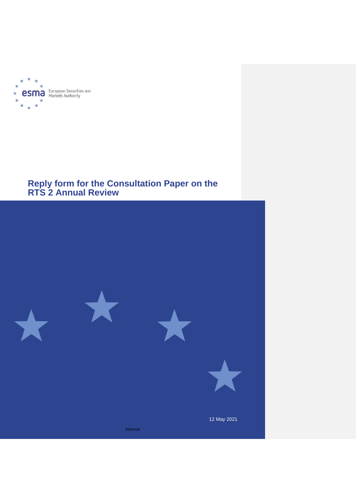

# **Reply form for the Consultation Paper on the RTS 2 Annual Review**

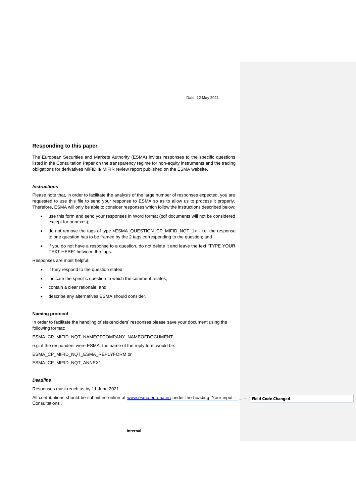Date: 12 May 2021

# **Responding to this paper**

The European Securities and Markets Authority (ESMA) invites responses to the specific questions listed in the Consultation Paper on the transparency regime for non-equity instruments and the trading obligations for derivatives MiFID II/ MiFIR review report published on the ESMA website.

# *Instructions*

Please note that, in order to facilitate the analysis of the large number of responses expected, you are requested to use this file to send your response to ESMA so as to allow us to process it properly. Therefore, ESMA will only be able to consider responses which follow the instructions described below:

- use this form and send your responses in Word format (pdf documents will not be considered except for annexes);
- do not remove the tags of type <ESMA\_QUESTION\_CP\_MIFID\_NQT\_1> i.e. the response to one question has to be framed by the 2 tags corresponding to the question; and
- if you do not have a response to a question, do not delete it and leave the text "TYPE YOUR TEXT HERE" between the tags.

Responses are most helpful:

- if they respond to the question stated;
- indicate the specific question to which the comment relates;
- contain a clear rationale; and
- describe any alternatives ESMA should consider.

### **Naming protocol**

In order to facilitate the handling of stakeholders' responses please save your document using the following format:

ESMA\_CP\_MIFID\_NQT\_NAMEOFCOMPANY\_NAMEOFDOCUMENT.

e.g. if the respondent were ESMA, the name of the reply form would be:

ESMA\_CP\_MIFID\_NQT\_ESMA\_REPLYFORM or

ESMA\_CP\_MIFID\_NQT\_ANNEX1

## *Deadline*

Responses must reach us by 11 June 2021.

All contributions should be submitted online at [www.esma.europa.eu](http://www.esma.europa.eu/) under the heading 'Your input -Consultations'. **Field Code Changed**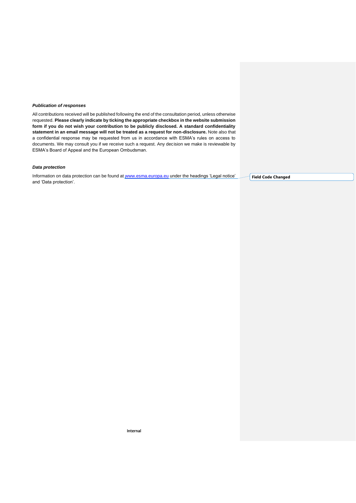#### *Publication of responses*

All contributions received will be published following the end of the consultation period, unless otherwise requested. **Please clearly indicate by ticking the appropriate checkbox in the website submission form if you do not wish your contribution to be publicly disclosed. A standard confidentiality statement in an email message will not be treated as a request for non-disclosure.** Note also that a confidential response may be requested from us in accordance with ESMA's rules on access to documents. We may consult you if we receive such a request. Any decision we make is reviewable by ESMA's Board of Appeal and the European Ombudsman.

# *Data protection*

Information on data protection can be found at [www.esma.europa.eu](http://www.esma.europa.eu/) under the headings 'Legal notice' and 'Data protection'.

**Field Code Changed**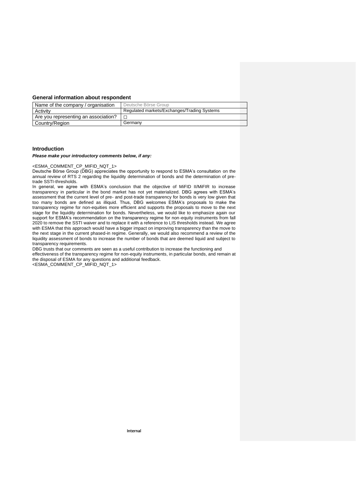# **General information about respondent**

| Name of the company / organisation   | Deutsche Börse Group                        |
|--------------------------------------|---------------------------------------------|
| Activity                             | Regulated markets/Exchanges/Trading Systems |
| Are you representing an association? |                                             |
| Country/Region                       | Germany                                     |

## **Introduction**

## *Please make your introductory comments below, if any:*

<ESMA\_COMMENT\_CP\_MIFID\_NQT\_1>

Deutsche Börse Group (DBG) appreciates the opportunity to respond to ESMA's consultation on the annual review of RTS 2 regarding the liquidity determination of bonds and the determination of pretrade SSTI-thresholds.

In general, we agree with ESMA's conclusion that the objective of MiFID II/MiFIR to increase transparency in particular in the bond market has not yet materialized. DBG agrees with ESMA's assessment that the current level of pre- and post-trade transparency for bonds is very low given that too many bonds are defined as illiquid. Thus, DBG welcomes ESMA's proposals to make the transparency regime for non-equities more efficient and supports the proposals to move to the next stage for the liquidity determination for bonds. Nevertheless, we would like to emphasize again our support for ESMA's recommendation on the transparency regime for non-equity instruments from fall 2020 to remove the SSTI waiver and to replace it with a reference to LIS thresholds instead. We agree with ESMA that this approach would have a bigger impact on improving transparency than the move to the next stage in the current phased-in regime. Generally, we would also recommend a review of the liquidity assessment of bonds to increase the number of bonds that are deemed liquid and subject to transparency requirements.

DBG trusts that our comments are seen as a useful contribution to increase the functioning and

effectiveness of the transparency regime for non-equity instruments, in particular bonds, and remain at the disposal of ESMA for any questions and additional feedback.

<ESMA\_COMMENT\_CP\_MIFID\_NQT\_1>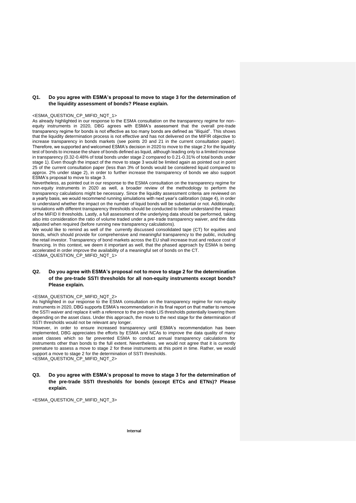# **Q1. Do you agree with ESMA's proposal to move to stage 3 for the determination of the liquidity assessment of bonds? Please explain.**

#### <ESMA\_QUESTION\_CP\_MIFID\_NQT\_1>

As already highlighted in our response to the ESMA consultation on the transparency regime for nonequity instruments in 2020, DBG agrees with ESMA's assessment that the overall pre-trade transparency regime for bonds is not effective as too many bonds are defined as "illiquid". This shows that the liquidity determination process is not effective and has not delivered on the MIFIR objective to increase transparency in bonds markets (see points 20 and 21 in the current consultation paper). Therefore, we supported and welcomed ESMA's decision in 2020 to move to the stage 2 for the liquidity test of bonds to increase the share of bonds defined as liquid, although leading only to a limited increase in transparency (0.32-0.48% of total bonds under stage 2 compared to 0.21-0.31% of total bonds under stage 1). Even though the impact of the move to stage 3 would be limited again as pointed out in point 25 of the current consultation paper (less than 3% of bonds would be considered liquid compared to approx. 2% under stage 2), in order to further increase the transparency of bonds we also support ESMA's proposal to move to stage 3.

Nevertheless, as pointed out in our response to the ESMA consultation on the transparency regime for non-equity instruments in 2020 as well, a broader review of the methodology to perform the transparency calculations might be necessary. Since the liquidity assessment criteria are reviewed on a yearly basis, we would recommend running simulations with next year's calibration (stage 4), in order to understand whether the impact on the number of liquid bonds will be substantial or not. Additionally, simulations with different transparency thresholds should be conducted to better understand the impact of the MiFID II thresholds. Lastly, a full assessment of the underlying data should be performed, taking also into consideration the ratio of volume traded under a pre-trade transparency waiver, and the data adjusted when required (before running new transparency calculations).

We would like to remind as well of the currently discussed consolidated tape (CT) for equities and bonds, which should provide for comprehensive and meaningful transparency to the public, including the retail investor. Transparency of bond markets across the EU shall increase trust and reduce cost of financing. In this context, we deem it important as well, that the phased approach by ESMA is being accelerated in order improve the availability of a meaningful set of bonds on the CT. <ESMA\_QUESTION\_CP\_MIFID\_NQT\_1>

# **Q2. Do you agree with ESMA's proposal not to move to stage 2 for the determination of the pre-trade SSTI thresholds for all non-equity instruments except bonds? Please explain.**

## <ESMA\_QUESTION\_CP\_MIFID\_NQT\_2>

As highlighted in our response to the ESMA consultation on the transparency regime for non-equity instruments in 2020, DBG supports ESMA's recommendation in its final report on that matter to remove the SSTI waiver and replace it with a reference to the pre-trade LIS thresholds potentially lowering them depending on the asset class. Under this approach, the move to the next stage for the determination of SSTI thresholds would not be relevant any longer.

However, in order to ensure increased transparency until ESMA's recommendation has been implemented, DBG appreciates the efforts by ESMA and NCAs to improve the data quality of many asset classes which so far prevented ESMA to conduct annual transparency calculations for instruments other than bonds to the full extent. Nevertheless, we would not agree that it is currently premature to assess a move to stage 2 for these instruments at this point in time. Rather, we would support a move to stage 2 for the determination of SSTI thresholds. <ESMA\_QUESTION\_CP\_MIFID\_NQT\_2>

**Q3. Do you agree with ESMA's proposal to move to stage 3 for the determination of the pre-trade SSTI thresholds for bonds (except ETCs and ETNs)? Please explain.**

<ESMA\_QUESTION\_CP\_MIFID\_NQT\_3>